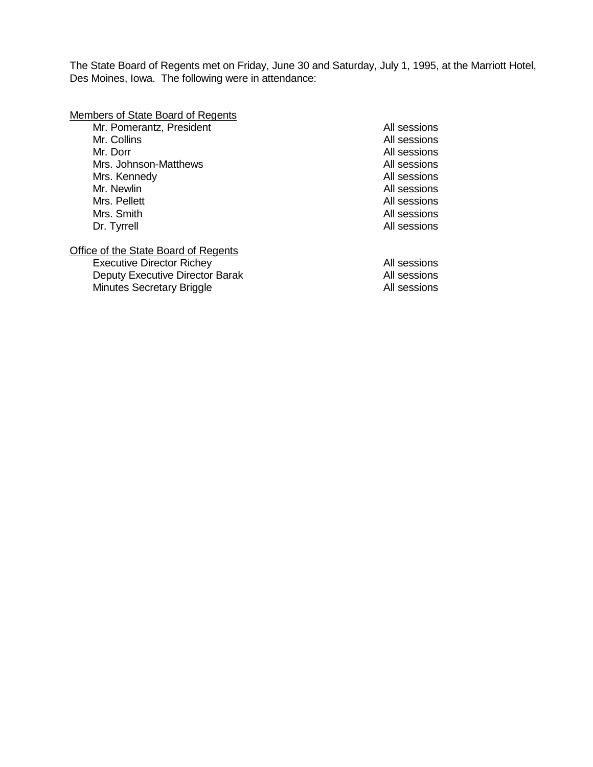The State Board of Regents met on Friday, June 30 and Saturday, July 1, 1995, at the Marriott Hotel, Des Moines, Iowa. The following were in attendance:

#### Members of State Board of Regents

| Mr. Pomerantz, President | All sessions |
|--------------------------|--------------|
| Mr. Collins              | All sessions |
| Mr. Dorr                 | All sessions |
| Mrs. Johnson-Matthews    | All sessions |
| Mrs. Kennedy             | All sessions |
| Mr. Newlin               | All sessions |
| Mrs. Pellett             | All sessions |
| Mrs. Smith               | All sessions |
| Dr. Tyrrell              | All sessions |
|                          |              |

#### **Office of the State Board of Regents**

Executive Director Richey **All sessions** Deputy Executive Director Barak **All sessions** Minutes Secretary Briggle **All sessions** All sessions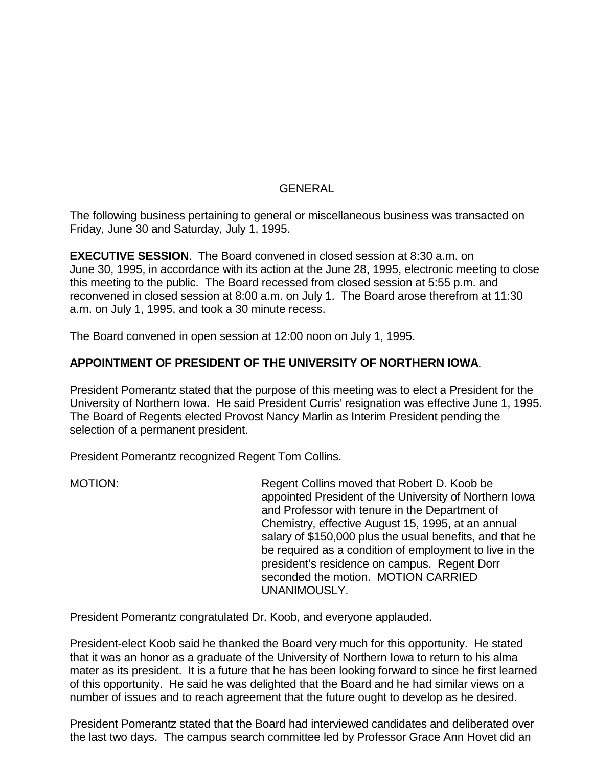### **GENERAL**

The following business pertaining to general or miscellaneous business was transacted on Friday, June 30 and Saturday, July 1, 1995.

**EXECUTIVE SESSION**. The Board convened in closed session at 8:30 a.m. on June 30, 1995, in accordance with its action at the June 28, 1995, electronic meeting to close this meeting to the public. The Board recessed from closed session at 5:55 p.m. and reconvened in closed session at 8:00 a.m. on July 1. The Board arose therefrom at 11:30 a.m. on July 1, 1995, and took a 30 minute recess.

The Board convened in open session at 12:00 noon on July 1, 1995.

# **APPOINTMENT OF PRESIDENT OF THE UNIVERSITY OF NORTHERN IOWA**.

President Pomerantz stated that the purpose of this meeting was to elect a President for the University of Northern Iowa. He said President Curris' resignation was effective June 1, 1995. The Board of Regents elected Provost Nancy Marlin as Interim President pending the selection of a permanent president.

President Pomerantz recognized Regent Tom Collins.

MOTION: Regent Collins moved that Robert D. Koob be appointed President of the University of Northern Iowa and Professor with tenure in the Department of Chemistry, effective August 15, 1995, at an annual salary of \$150,000 plus the usual benefits, and that he be required as a condition of employment to live in the president's residence on campus. Regent Dorr seconded the motion. MOTION CARRIED UNANIMOUSLY.

President Pomerantz congratulated Dr. Koob, and everyone applauded.

President-elect Koob said he thanked the Board very much for this opportunity. He stated that it was an honor as a graduate of the University of Northern Iowa to return to his alma mater as its president. It is a future that he has been looking forward to since he first learned of this opportunity. He said he was delighted that the Board and he had similar views on a number of issues and to reach agreement that the future ought to develop as he desired.

President Pomerantz stated that the Board had interviewed candidates and deliberated over the last two days. The campus search committee led by Professor Grace Ann Hovet did an